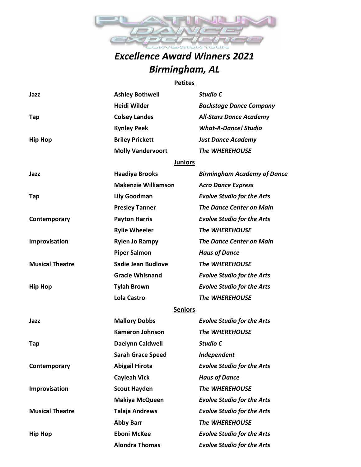

## *Excellence Award Winners 2021 Birmingham, AL*

## **Petites**

| Jazz                   | <b>Ashley Bothwell</b>     | Studio C                           |
|------------------------|----------------------------|------------------------------------|
|                        | <b>Heidi Wilder</b>        | <b>Backstage Dance Company</b>     |
| Tap                    | <b>Colsey Landes</b>       | <b>All-Starz Dance Academy</b>     |
|                        | <b>Kynley Peek</b>         | <b>What-A-Dance! Studio</b>        |
| <b>Hip Hop</b>         | <b>Briley Prickett</b>     | <b>Just Dance Academy</b>          |
|                        | <b>Molly Vandervoort</b>   | <b>The WHEREHOUSE</b>              |
|                        | <b>Juniors</b>             |                                    |
| Jazz                   | <b>Haadiya Brooks</b>      | <b>Birmingham Academy of Dance</b> |
|                        | <b>Makenzie Williamson</b> | <b>Acro Dance Express</b>          |
| Tap                    | <b>Lily Goodman</b>        | <b>Evolve Studio for the Arts</b>  |
|                        | <b>Presley Tanner</b>      | <b>The Dance Center on Main</b>    |
| Contemporary           | <b>Payton Harris</b>       | <b>Evolve Studio for the Arts</b>  |
|                        | <b>Rylie Wheeler</b>       | <b>The WHEREHOUSE</b>              |
| Improvisation          | <b>Rylen Jo Rampy</b>      | <b>The Dance Center on Main</b>    |
|                        | <b>Piper Salmon</b>        | <b>Haus of Dance</b>               |
| <b>Musical Theatre</b> | <b>Sadie Jean Budlove</b>  | <b>The WHEREHOUSE</b>              |
|                        | <b>Gracie Whisnand</b>     | <b>Evolve Studio for the Arts</b>  |
| <b>Hip Hop</b>         | <b>Tylah Brown</b>         | <b>Evolve Studio for the Arts</b>  |
|                        | <b>Lola Castro</b>         | <b>The WHEREHOUSE</b>              |
|                        | <b>Seniors</b>             |                                    |
| Jazz                   | <b>Mallory Dobbs</b>       | <b>Evolve Studio for the Arts</b>  |
|                        | <b>Kameron Johnson</b>     | <b>The WHEREHOUSE</b>              |
| Tap                    | Daelynn Caldwell           | Studio C                           |
|                        | <b>Sarah Grace Speed</b>   | Independent                        |
| Contemporary           | <b>Abigail Hirota</b>      | <b>Evolve Studio for the Arts</b>  |
|                        | <b>Cayleah Vick</b>        | <b>Haus of Dance</b>               |
| Improvisation          | <b>Scout Hayden</b>        | <b>The WHEREHOUSE</b>              |
|                        | <b>Makiya McQueen</b>      | <b>Evolve Studio for the Arts</b>  |
| <b>Musical Theatre</b> | <b>Talaja Andrews</b>      | <b>Evolve Studio for the Arts</b>  |
|                        | <b>Abby Barr</b>           | The WHEREHOUSE                     |
| <b>Hip Hop</b>         | <b>Eboni McKee</b>         | <b>Evolve Studio for the Arts</b>  |
|                        | <b>Alondra Thomas</b>      | <b>Evolve Studio for the Arts</b>  |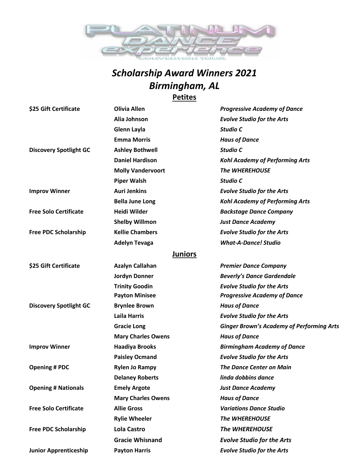

## *Scholarship Award Winners 2021 Birmingham, AL* **Petites**

| <b>Olivia Allen</b>       | <b>Progressive Academy of Dance</b>              |
|---------------------------|--------------------------------------------------|
| Alia Johnson              | <b>Evolve Studio for the Arts</b>                |
| <b>Glenn Layla</b>        | Studio C                                         |
| <b>Emma Morris</b>        | <b>Haus of Dance</b>                             |
| <b>Ashley Bothwell</b>    | Studio C                                         |
| <b>Daniel Hardison</b>    | <b>Kohl Academy of Performing Arts</b>           |
| <b>Molly Vandervoort</b>  | <b>The WHEREHOUSE</b>                            |
| <b>Piper Walsh</b>        | Studio C                                         |
| <b>Auri Jenkins</b>       | <b>Evolve Studio for the Arts</b>                |
| <b>Bella June Long</b>    | <b>Kohl Academy of Performing Arts</b>           |
| <b>Heidi Wilder</b>       | <b>Backstage Dance Company</b>                   |
| <b>Shelby Willmon</b>     | <b>Just Dance Academy</b>                        |
| <b>Kellie Chambers</b>    | <b>Evolve Studio for the Arts</b>                |
| <b>Adelyn Tevaga</b>      | <b>What-A-Dance! Studio</b>                      |
| <b>Juniors</b>            |                                                  |
| <b>Azalyn Callahan</b>    | <b>Premier Dance Company</b>                     |
| <b>Jordyn Donner</b>      | <b>Beverly's Dance Gardendale</b>                |
| <b>Trinity Goodin</b>     | <b>Evolve Studio for the Arts</b>                |
| <b>Payton Minisee</b>     | <b>Progressive Academy of Dance</b>              |
| <b>Brynlee Brown</b>      | <b>Haus of Dance</b>                             |
| <b>Laila Harris</b>       | <b>Evolve Studio for the Arts</b>                |
| <b>Gracie Long</b>        | <b>Ginger Brown's Academy of Performing Arts</b> |
| <b>Mary Charles Owens</b> | <b>Haus of Dance</b>                             |
| <b>Haadiya Brooks</b>     | <b>Birmingham Academy of Dance</b>               |
| <b>Paisley Ocmand</b>     | <b>Evolve Studio for the Arts</b>                |
| <b>Rylen Jo Rampy</b>     | <b>The Dance Center on Main</b>                  |
| <b>Delaney Roberts</b>    | linda dobbins dance                              |
| <b>Emely Argote</b>       | <b>Just Dance Academy</b>                        |
| <b>Mary Charles Owens</b> | <b>Haus of Dance</b>                             |
| <b>Allie Gross</b>        | <b>Variations Dance Studio</b>                   |
| <b>Rylie Wheeler</b>      | The WHEREHOUSE                                   |
| <b>Lola Castro</b>        | The WHEREHOUSE                                   |
| <b>Gracie Whisnand</b>    | <b>Evolve Studio for the Arts</b>                |
| <b>Payton Harris</b>      | <b>Evolve Studio for the Arts</b>                |
|                           |                                                  |